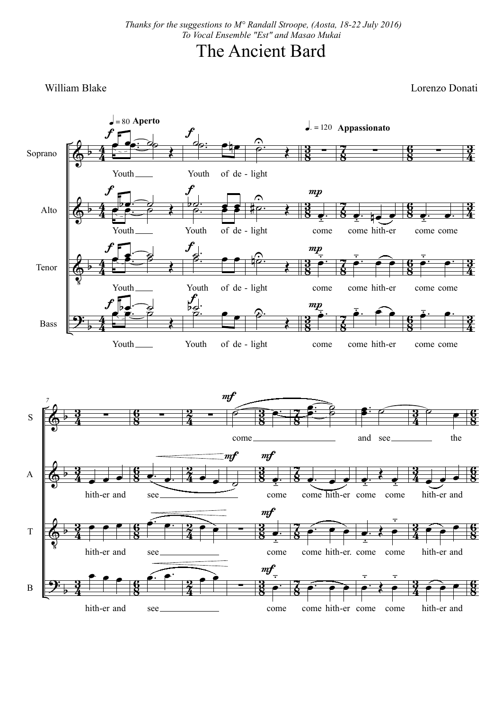## The Ancient Bard

William Blake Lorenzo Donati

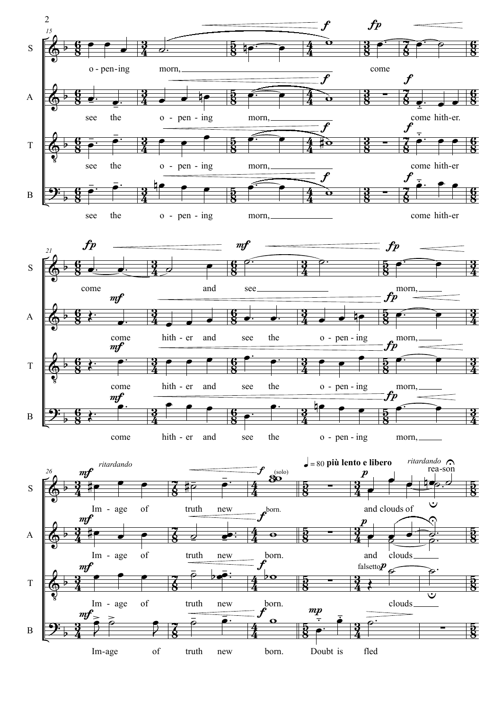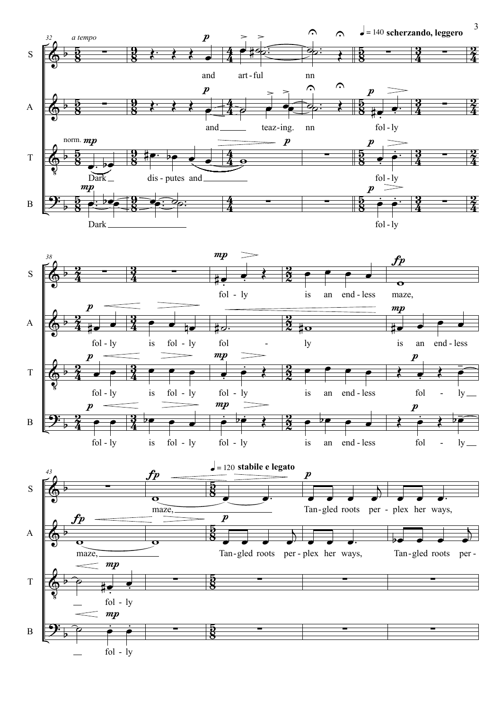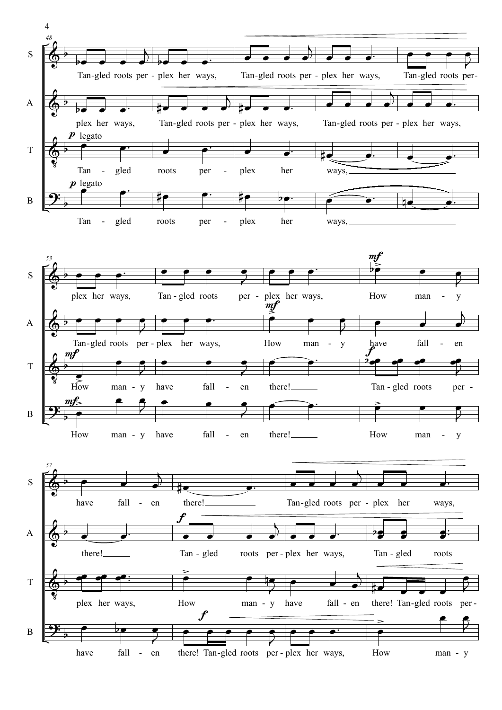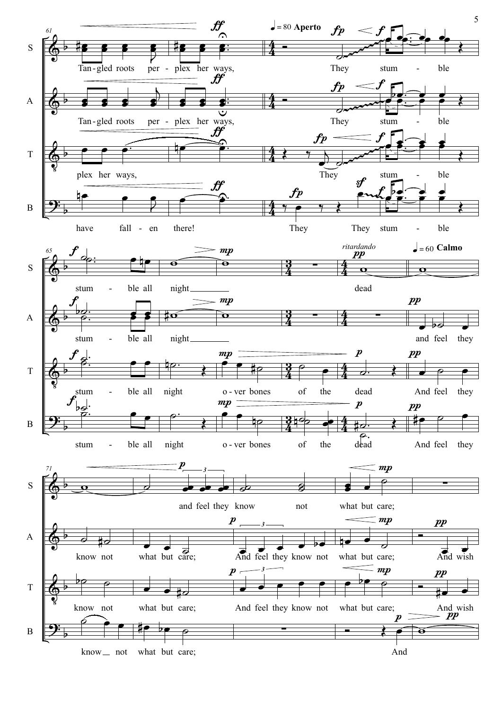